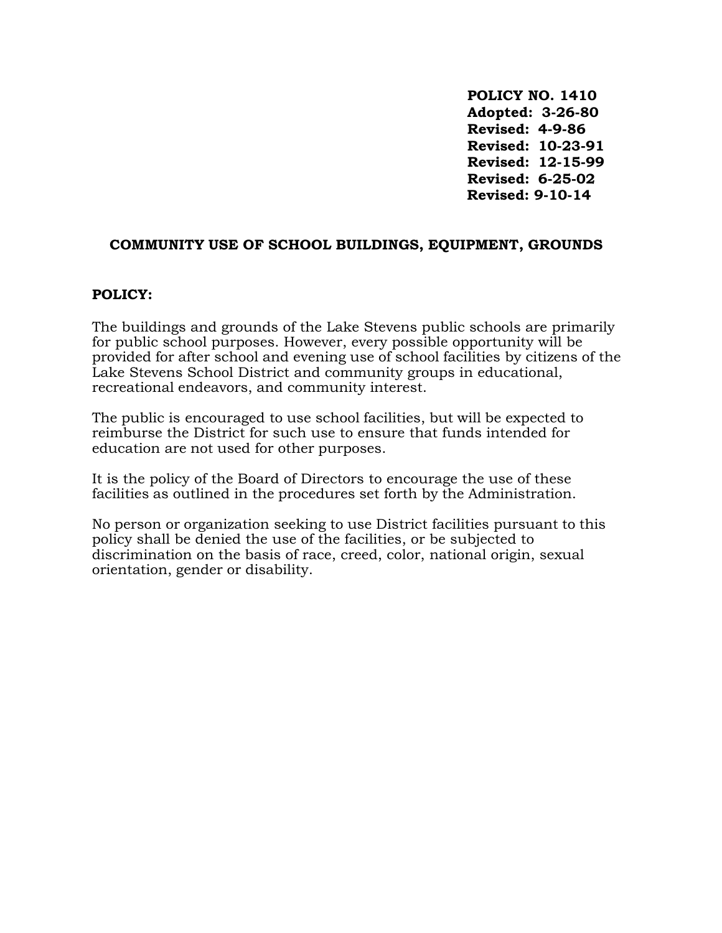**POLICY NO. 1410 Adopted: 3-26-80 Revised: 4-9-86 Revised: 10-23-91 Revised: 12-15-99 Revised: 6-25-02 Revised: 9-10-14**

#### **COMMUNITY USE OF SCHOOL BUILDINGS, EQUIPMENT, GROUNDS**

#### **POLICY:**

The buildings and grounds of the Lake Stevens public schools are primarily for public school purposes. However, every possible opportunity will be provided for after school and evening use of school facilities by citizens of the Lake Stevens School District and community groups in educational, recreational endeavors, and community interest.

The public is encouraged to use school facilities, but will be expected to reimburse the District for such use to ensure that funds intended for education are not used for other purposes.

It is the policy of the Board of Directors to encourage the use of these facilities as outlined in the procedures set forth by the Administration.

No person or organization seeking to use District facilities pursuant to this policy shall be denied the use of the facilities, or be subjected to discrimination on the basis of race, creed, color, national origin, sexual orientation, gender or disability.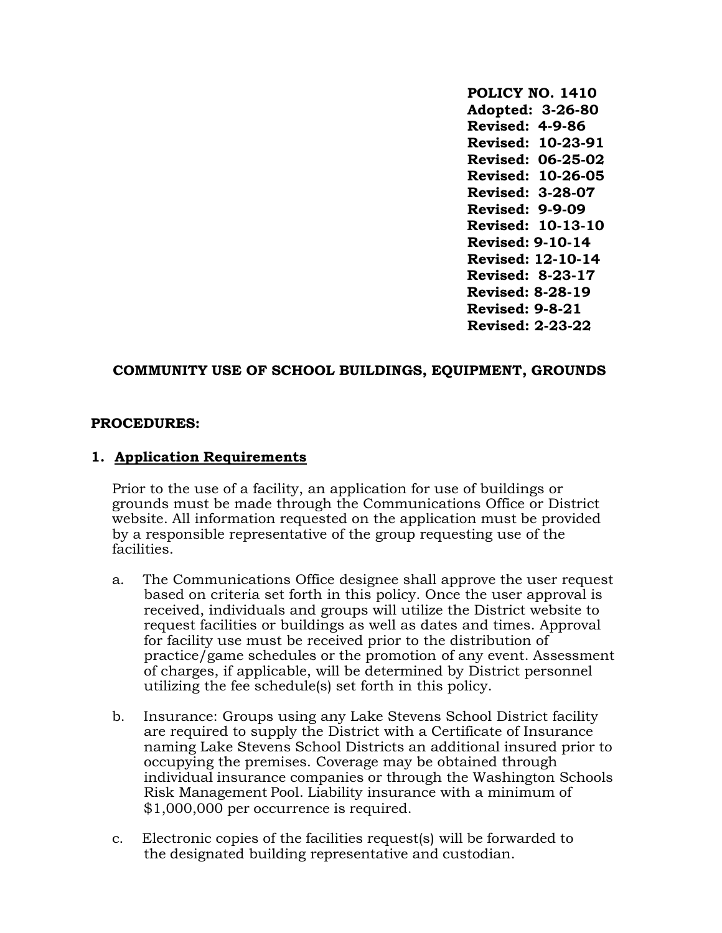**POLICY NO. 1410 Adopted: 3-26-80 Revised: 4-9-86 Revised: 10-23-91 Revised: 06-25-02 Revised: 10-26-05 Revised: 3-28-07 Revised: 9-9-09 Revised: 10-13-10 Revised: 9-10-14 Revised: 12-10-14 Revised: 8-23-17 Revised: 8-28-19 Revised: 9-8-21 Revised: 2-23-22**

### **COMMUNITY USE OF SCHOOL BUILDINGS, EQUIPMENT, GROUNDS**

#### **PROCEDURES:**

#### **1. Application Requirements**

Prior to the use of a facility, an application for use of buildings or grounds must be made through the Communications Office or District website. All information requested on the application must be provided by a responsible representative of the group requesting use of the facilities.

- a. The Communications Office designee shall approve the user request based on criteria set forth in this policy. Once the user approval is received, individuals and groups will utilize the District website to request facilities or buildings as well as dates and times. Approval for facility use must be received prior to the distribution of practice/game schedules or the promotion of any event. Assessment of charges, if applicable, will be determined by District personnel utilizing the fee schedule(s) set forth in this policy.
- b. Insurance: Groups using any Lake Stevens School District facility are required to supply the District with a Certificate of Insurance naming Lake Stevens School Districts an additional insured prior to occupying the premises. Coverage may be obtained through individual insurance companies or through the Washington Schools Risk Management Pool. Liability insurance with a minimum of \$1,000,000 per occurrence is required.
- c. Electronic copies of the facilities request(s) will be forwarded to the designated building representative and custodian.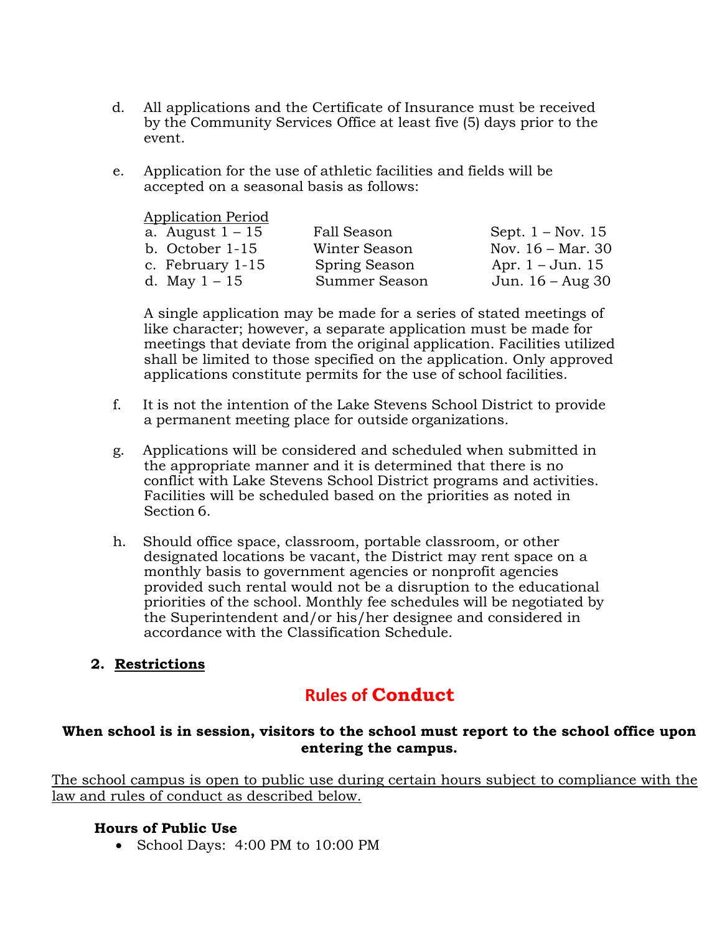- d. All applications and the Certificate of Insurance must be received by the Community Services Office at least five (5) days prior to the event.
- e. Application for the use of athletic facilities and fields will be accepted on a seasonal basis as follows:

Application Period

| a. August $1-15$  | Fall Season   | Sept. $1 - Nov. 15$         |
|-------------------|---------------|-----------------------------|
| b. October $1-15$ | Winter Season | Nov. $16 - \text{Mar. } 30$ |
| c. February 1-15  | Spring Season | Apr. $1 -$ Jun. 15          |
| d. May $1 - 15$   | Summer Season | Jun. $16 - Aug 30$          |

A single application may be made for a series of stated meetings of like character; however, a separate application must be made for meetings that deviate from the original application. Facilities utilized shall be limited to those specified on the application. Only approved applications constitute permits for the use of school facilities.

- f. It is not the intention of the Lake Stevens School District to provide a permanent meeting place for outside organizations.
- g. Applications will be considered and scheduled when submitted in the appropriate manner and it is determined that there is no conflict with Lake Stevens School District programs and activities. Facilities will be scheduled based on the priorities as noted in Section 6.
- h. Should office space, classroom, portable classroom, or other designated locations be vacant, the District may rent space on a monthly basis to government agencies or nonprofit agencies provided such rental would not be a disruption to the educational priorities of the school. Monthly fee schedules will be negotiated by the Superintendent and/or his/her designee and considered in accordance with the Classification Schedule.

# **2. Restrictions**

# **Rules of Conduct**

# **When school is in session, visitors to the school must report to the school office upon entering the campus.**

The school campus is open to public use during certain hours subject to compliance with the law and rules of conduct as described below.

### **Hours of Public Use**

• School Days: 4:00 PM to 10:00 PM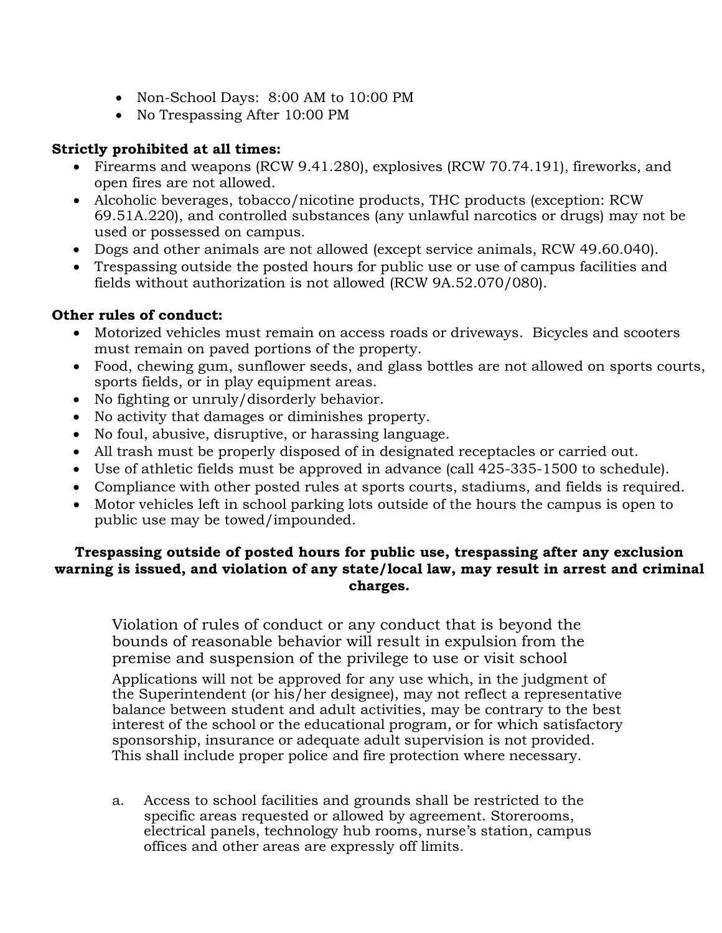- Non-School Days: 8:00 AM to 10:00 PM
- No Trespassing After 10:00 PM

# **Strictly prohibited at all times:**

- Firearms and weapons (RCW 9.41.280), explosives (RCW 70.74.191), fireworks, and open fires are not allowed.
- Alcoholic beverages, tobacco/nicotine products, THC products (exception: RCW 69.51A.220), and controlled substances (any unlawful narcotics or drugs) may not be used or possessed on campus.
- Dogs and other animals are not allowed (except service animals, RCW 49.60.040).
- Trespassing outside the posted hours for public use or use of campus facilities and fields without authorization is not allowed (RCW 9A.52.070/080).

# **Other rules of conduct:**

- Motorized vehicles must remain on access roads or driveways. Bicycles and scooters must remain on paved portions of the property.
- Food, chewing gum, sunflower seeds, and glass bottles are not allowed on sports courts, sports fields, or in play equipment areas.
- No fighting or unruly/disorderly behavior.
- No activity that damages or diminishes property.
- No foul, abusive, disruptive, or harassing language.
- All trash must be properly disposed of in designated receptacles or carried out.
- Use of athletic fields must be approved in advance (call 425-335-1500 to schedule).
- Compliance with other posted rules at sports courts, stadiums, and fields is required.
- Motor vehicles left in school parking lots outside of the hours the campus is open to public use may be towed/impounded.

# **Trespassing outside of posted hours for public use, trespassing after any exclusion warning is issued, and violation of any state/local law, may result in arrest and criminal charges.**

Violation of rules of conduct or any conduct that is beyond the bounds of reasonable behavior will result in expulsion from the premise and suspension of the privilege to use or visit school

Applications will not be approved for any use which, in the judgment of the Superintendent (or his/her designee), may not reflect a representative balance between student and adult activities, may be contrary to the best interest of the school or the educational program, or for which satisfactory sponsorship, insurance or adequate adult supervision is not provided. This shall include proper police and fire protection where necessary.

a. Access to school facilities and grounds shall be restricted to the specific areas requested or allowed by agreement. Storerooms, electrical panels, technology hub rooms, nurse's station, campus offices and other areas are expressly off limits.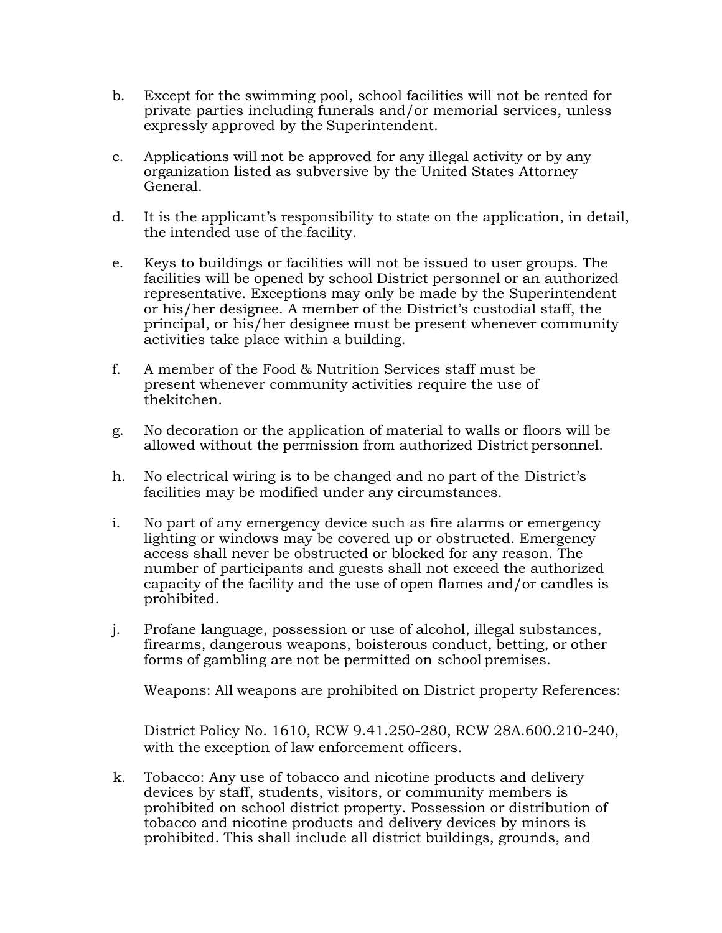- b. Except for the swimming pool, school facilities will not be rented for private parties including funerals and/or memorial services, unless expressly approved by the Superintendent.
- c. Applications will not be approved for any illegal activity or by any organization listed as subversive by the United States Attorney General.
- d. It is the applicant's responsibility to state on the application, in detail, the intended use of the facility.
- e. Keys to buildings or facilities will not be issued to user groups. The facilities will be opened by school District personnel or an authorized representative. Exceptions may only be made by the Superintendent or his/her designee. A member of the District's custodial staff, the principal, or his/her designee must be present whenever community activities take place within a building.
- f. A member of the Food & Nutrition Services staff must be present whenever community activities require the use of thekitchen.
- g. No decoration or the application of material to walls or floors will be allowed without the permission from authorized District personnel.
- h. No electrical wiring is to be changed and no part of the District's facilities may be modified under any circumstances.
- i. No part of any emergency device such as fire alarms or emergency lighting or windows may be covered up or obstructed. Emergency access shall never be obstructed or blocked for any reason. The number of participants and guests shall not exceed the authorized capacity of the facility and the use of open flames and/or candles is prohibited.
- j. Profane language, possession or use of alcohol, illegal substances, firearms, dangerous weapons, boisterous conduct, betting, or other forms of gambling are not be permitted on school premises.

Weapons: All weapons are prohibited on District property References:

District Policy No. 1610, RCW 9.41.250-280, RCW 28A.600.210-240, with the exception of law enforcement officers.

k. Tobacco: Any use of tobacco and nicotine products and delivery devices by staff, students, visitors, or community members is prohibited on school district property. Possession or distribution of tobacco and nicotine products and delivery devices by minors is prohibited. This shall include all district buildings, grounds, and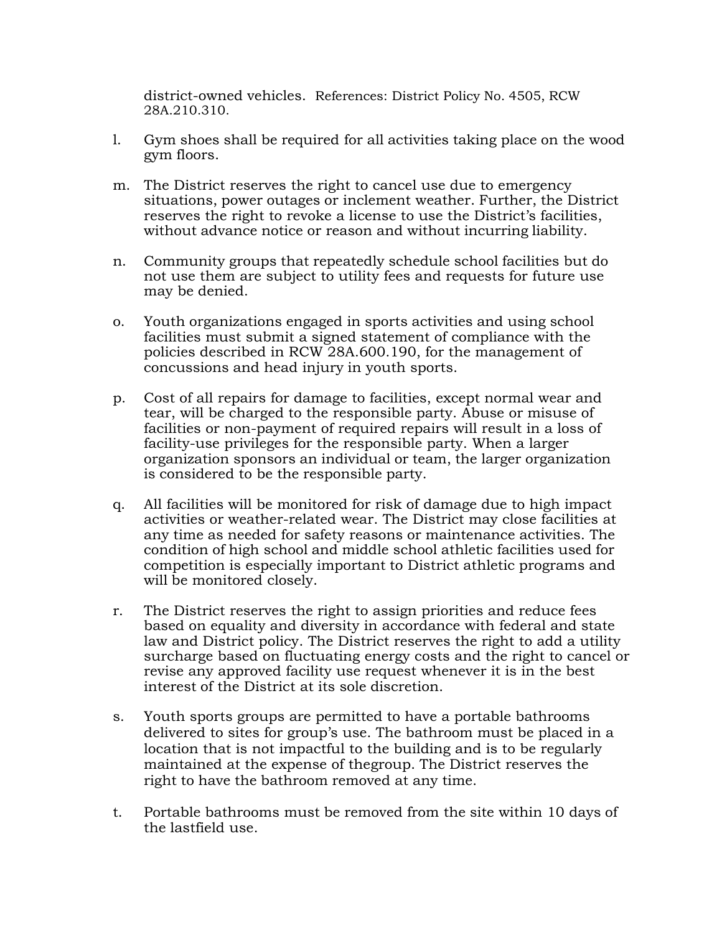district-owned vehicles. References: District Policy No. 4505, RCW 28A.210.310.

- l. Gym shoes shall be required for all activities taking place on the wood gym floors.
- m. The District reserves the right to cancel use due to emergency situations, power outages or inclement weather. Further, the District reserves the right to revoke a license to use the District's facilities, without advance notice or reason and without incurring liability.
- n. Community groups that repeatedly schedule school facilities but do not use them are subject to utility fees and requests for future use may be denied.
- o. Youth organizations engaged in sports activities and using school facilities must submit a signed statement of compliance with the policies described in RCW 28A.600.190, for the management of concussions and head injury in youth sports.
- p. Cost of all repairs for damage to facilities, except normal wear and tear, will be charged to the responsible party. Abuse or misuse of facilities or non-payment of required repairs will result in a loss of facility-use privileges for the responsible party. When a larger organization sponsors an individual or team, the larger organization is considered to be the responsible party.
- q. All facilities will be monitored for risk of damage due to high impact activities or weather-related wear. The District may close facilities at any time as needed for safety reasons or maintenance activities. The condition of high school and middle school athletic facilities used for competition is especially important to District athletic programs and will be monitored closely.
- r. The District reserves the right to assign priorities and reduce fees based on equality and diversity in accordance with federal and state law and District policy. The District reserves the right to add a utility surcharge based on fluctuating energy costs and the right to cancel or revise any approved facility use request whenever it is in the best interest of the District at its sole discretion.
- s. Youth sports groups are permitted to have a portable bathrooms delivered to sites for group's use. The bathroom must be placed in a location that is not impactful to the building and is to be regularly maintained at the expense of thegroup. The District reserves the right to have the bathroom removed at any time.
- t. Portable bathrooms must be removed from the site within 10 days of the lastfield use.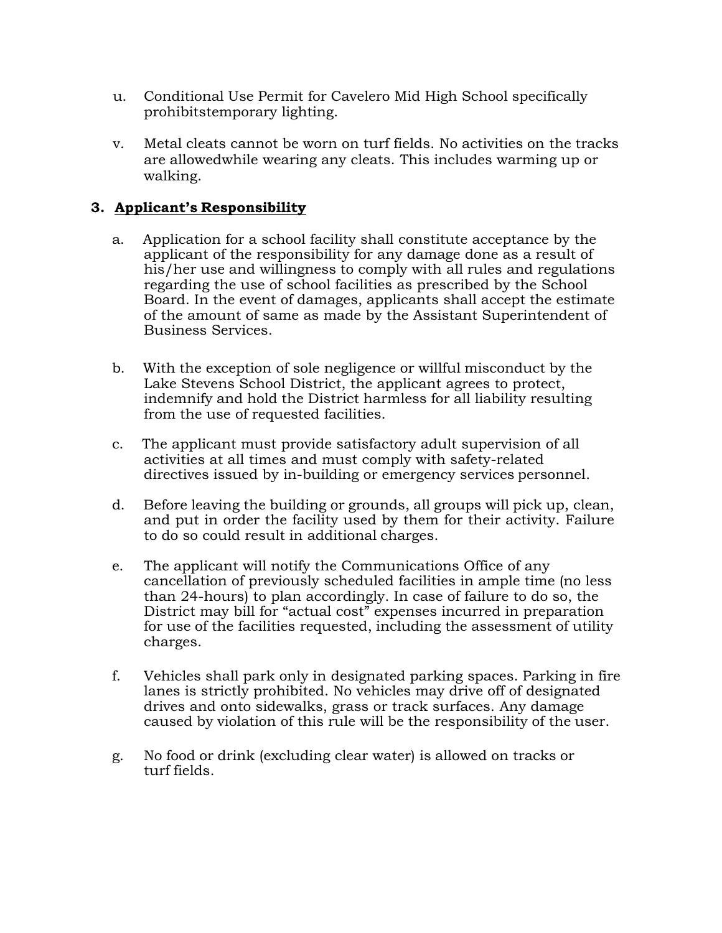- u. Conditional Use Permit for Cavelero Mid High School specifically prohibitstemporary lighting.
- v. Metal cleats cannot be worn on turf fields. No activities on the tracks are allowedwhile wearing any cleats. This includes warming up or walking.

# **3. Applicant's Responsibility**

- a. Application for a school facility shall constitute acceptance by the applicant of the responsibility for any damage done as a result of his/her use and willingness to comply with all rules and regulations regarding the use of school facilities as prescribed by the School Board. In the event of damages, applicants shall accept the estimate of the amount of same as made by the Assistant Superintendent of Business Services.
- b. With the exception of sole negligence or willful misconduct by the Lake Stevens School District, the applicant agrees to protect, indemnify and hold the District harmless for all liability resulting from the use of requested facilities.
- c. The applicant must provide satisfactory adult supervision of all activities at all times and must comply with safety-related directives issued by in-building or emergency services personnel.
- d. Before leaving the building or grounds, all groups will pick up, clean, and put in order the facility used by them for their activity. Failure to do so could result in additional charges.
- e. The applicant will notify the Communications Office of any cancellation of previously scheduled facilities in ample time (no less than 24-hours) to plan accordingly. In case of failure to do so, the District may bill for "actual cost" expenses incurred in preparation for use of the facilities requested, including the assessment of utility charges.
- f. Vehicles shall park only in designated parking spaces. Parking in fire lanes is strictly prohibited. No vehicles may drive off of designated drives and onto sidewalks, grass or track surfaces. Any damage caused by violation of this rule will be the responsibility of the user.
- g. No food or drink (excluding clear water) is allowed on tracks or turf fields.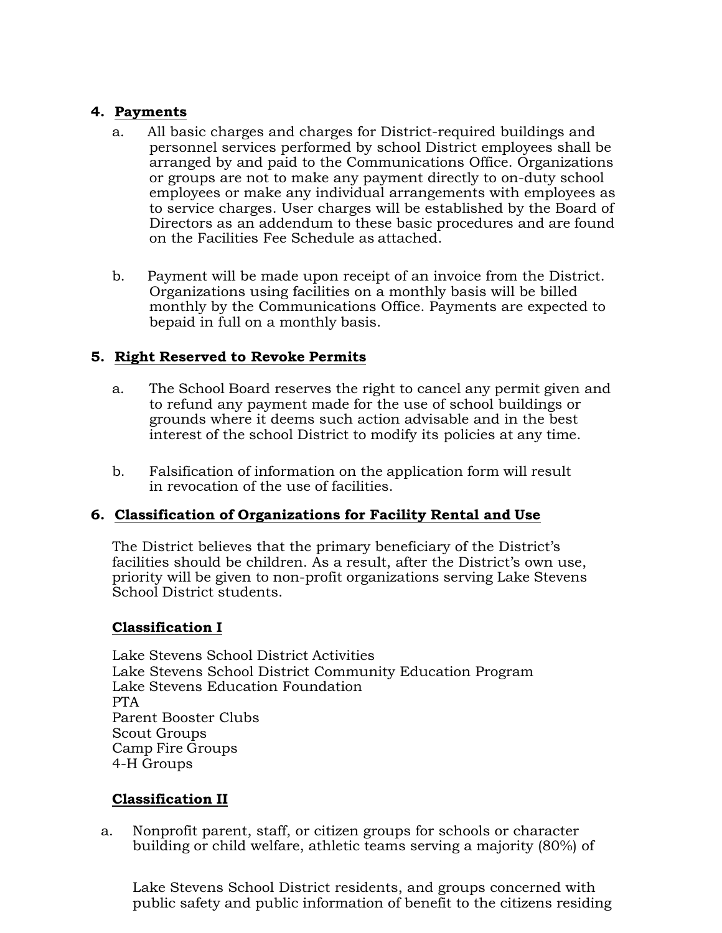### **4. Payments**

- a. All basic charges and charges for District-required buildings and personnel services performed by school District employees shall be arranged by and paid to the Communications Office. Organizations or groups are not to make any payment directly to on-duty school employees or make any individual arrangements with employees as to service charges. User charges will be established by the Board of Directors as an addendum to these basic procedures and are found on the Facilities Fee Schedule as attached.
- b. Payment will be made upon receipt of an invoice from the District. Organizations using facilities on a monthly basis will be billed monthly by the Communications Office. Payments are expected to bepaid in full on a monthly basis.

# **5. Right Reserved to Revoke Permits**

- a. The School Board reserves the right to cancel any permit given and to refund any payment made for the use of school buildings or grounds where it deems such action advisable and in the best interest of the school District to modify its policies at any time.
- b. Falsification of information on the application form will result in revocation of the use of facilities.

# **6. Classification of Organizations for Facility Rental and Use**

The District believes that the primary beneficiary of the District's facilities should be children. As a result, after the District's own use, priority will be given to non-profit organizations serving Lake Stevens School District students.

# **Classification I**

Lake Stevens School District Activities Lake Stevens School District Community Education Program Lake Stevens Education Foundation PTA Parent Booster Clubs Scout Groups Camp Fire Groups 4-H Groups

# **Classification II**

a. Nonprofit parent, staff, or citizen groups for schools or character building or child welfare, athletic teams serving a majority (80%) of

Lake Stevens School District residents, and groups concerned with public safety and public information of benefit to the citizens residing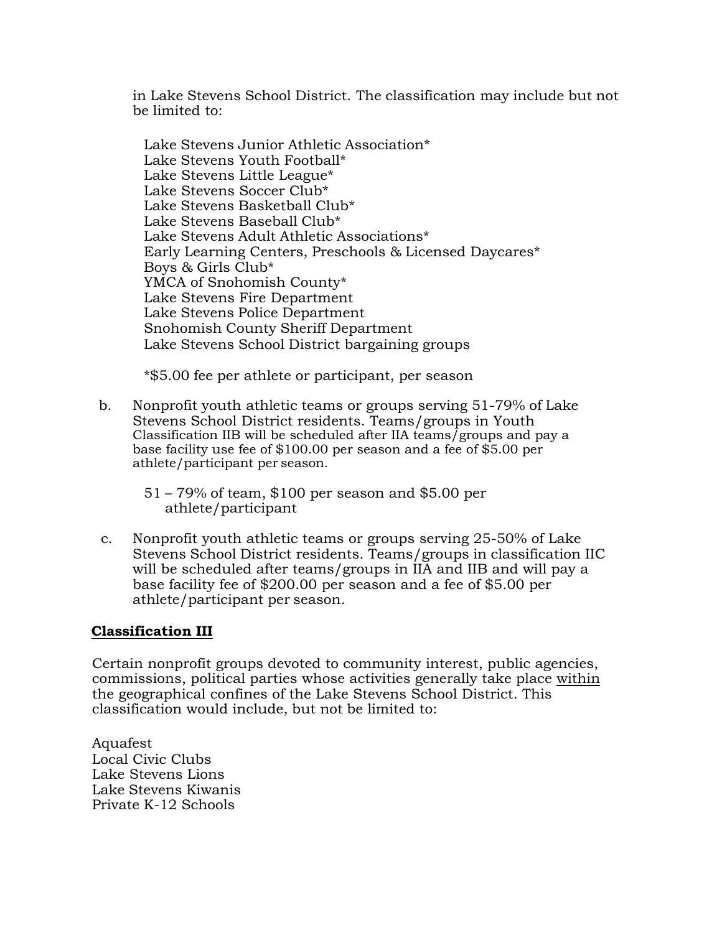in Lake Stevens School District. The classification may include but not be limited to:

Lake Stevens Junior Athletic Association\* Lake Stevens Youth Football\* Lake Stevens Little League\* Lake Stevens Soccer Club\* Lake Stevens Basketball Club\* Lake Stevens Baseball Club\* Lake Stevens Adult Athletic Associations\* Early Learning Centers, Preschools & Licensed Daycares\* Boys & Girls Club\* YMCA of Snohomish County\* Lake Stevens Fire Department Lake Stevens Police Department Snohomish County Sheriff Department Lake Stevens School District bargaining groups

\*\$5.00 fee per athlete or participant, per season

- b. Nonprofit youth athletic teams or groups serving 51-79% of Lake Stevens School District residents. Teams/groups in Youth Classification IIB will be scheduled after IIA teams/groups and pay a base facility use fee of \$100.00 per season and a fee of \$5.00 per athlete/participant per season.
	- 51 79% of team, \$100 per season and \$5.00 per athlete/participant
- c. Nonprofit youth athletic teams or groups serving 25-50% of Lake Stevens School District residents. Teams/groups in classification IIC will be scheduled after teams/groups in IIA and IIB and will pay a base facility fee of \$200.00 per season and a fee of \$5.00 per athlete/participant per season.

#### **Classification III**

Certain nonprofit groups devoted to community interest, public agencies, commissions, political parties whose activities generally take place within the geographical confines of the Lake Stevens School District. This classification would include, but not be limited to:

Aquafest Local Civic Clubs Lake Stevens Lions Lake Stevens Kiwanis Private K-12 Schools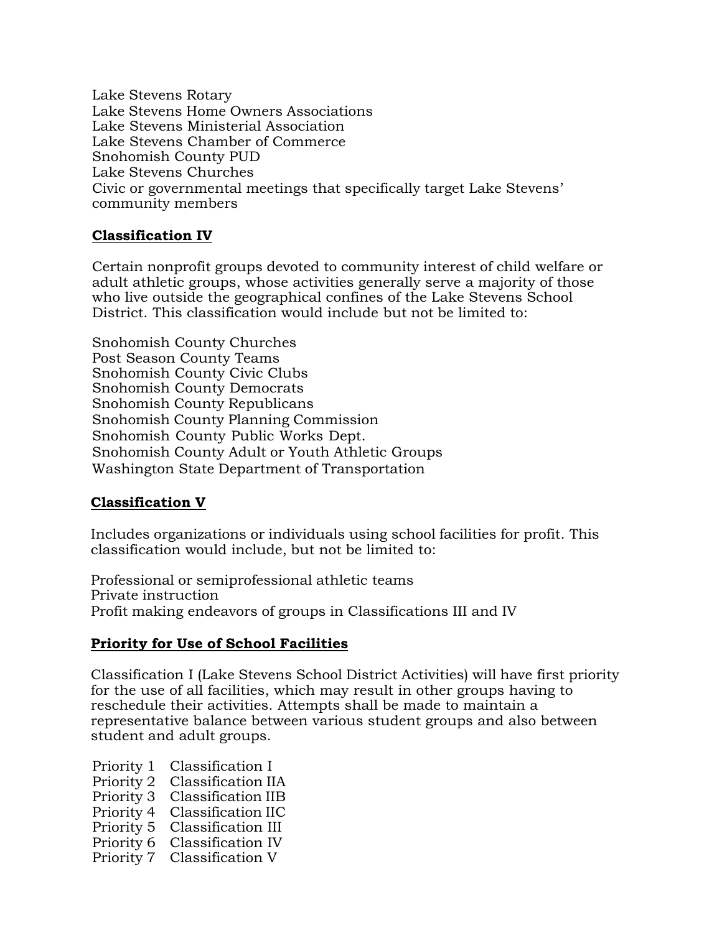Lake Stevens Rotary Lake Stevens Home Owners Associations Lake Stevens Ministerial Association Lake Stevens Chamber of Commerce Snohomish County PUD Lake Stevens Churches Civic or governmental meetings that specifically target Lake Stevens' community members

#### **Classification IV**

Certain nonprofit groups devoted to community interest of child welfare or adult athletic groups, whose activities generally serve a majority of those who live outside the geographical confines of the Lake Stevens School District. This classification would include but not be limited to:

Snohomish County Churches Post Season County Teams Snohomish County Civic Clubs Snohomish County Democrats Snohomish County Republicans Snohomish County Planning Commission Snohomish County Public Works Dept. Snohomish County Adult or Youth Athletic Groups Washington State Department of Transportation

### **Classification V**

Includes organizations or individuals using school facilities for profit. This classification would include, but not be limited to:

Professional or semiprofessional athletic teams Private instruction Profit making endeavors of groups in Classifications III and IV

### **Priority for Use of School Facilities**

Classification I (Lake Stevens School District Activities) will have first priority for the use of all facilities, which may result in other groups having to reschedule their activities. Attempts shall be made to maintain a representative balance between various student groups and also between student and adult groups.

- Priority 1 Classification I
- Priority 2 Classification IIA
- Priority 3 Classification IIB
- Priority 4 Classification IIC
- Priority 5 Classification III
- Priority 6 Classification IV
- Priority 7 Classification V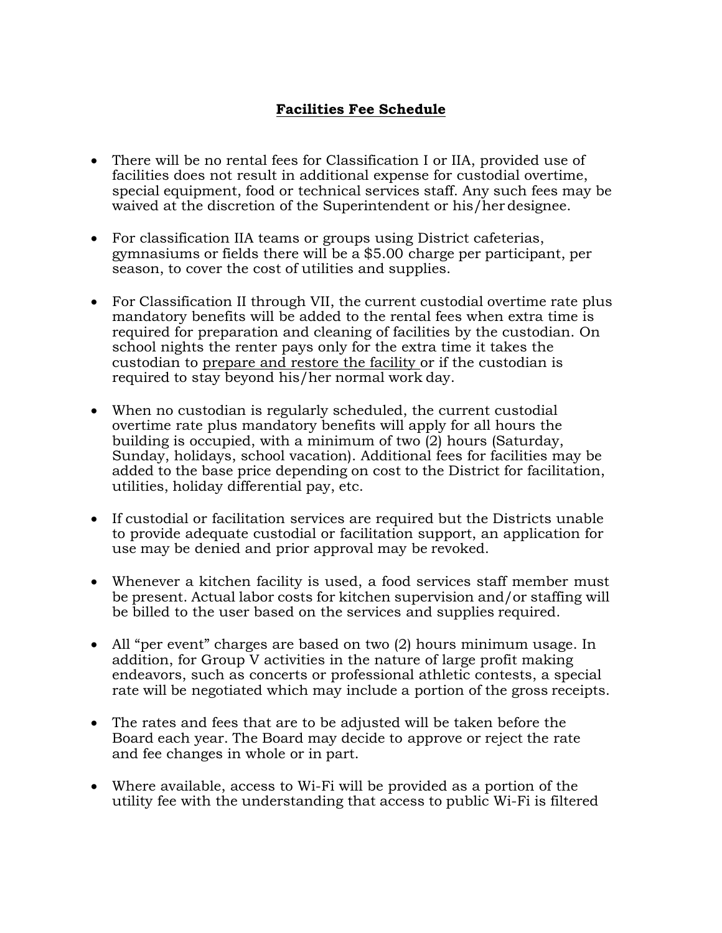# **Facilities Fee Schedule**

- There will be no rental fees for Classification I or IIA, provided use of facilities does not result in additional expense for custodial overtime, special equipment, food or technical services staff. Any such fees may be waived at the discretion of the Superintendent or his/her designee.
- For classification IIA teams or groups using District cafeterias, gymnasiums or fields there will be a \$5.00 charge per participant, per season, to cover the cost of utilities and supplies.
- For Classification II through VII, the current custodial overtime rate plus mandatory benefits will be added to the rental fees when extra time is required for preparation and cleaning of facilities by the custodian. On school nights the renter pays only for the extra time it takes the custodian to prepare and restore the facility or if the custodian is required to stay beyond his/her normal work day.
- When no custodian is regularly scheduled, the current custodial overtime rate plus mandatory benefits will apply for all hours the building is occupied, with a minimum of two (2) hours (Saturday, Sunday, holidays, school vacation). Additional fees for facilities may be added to the base price depending on cost to the District for facilitation, utilities, holiday differential pay, etc.
- If custodial or facilitation services are required but the Districts unable to provide adequate custodial or facilitation support, an application for use may be denied and prior approval may be revoked.
- Whenever a kitchen facility is used, a food services staff member must be present. Actual labor costs for kitchen supervision and/or staffing will be billed to the user based on the services and supplies required.
- All "per event" charges are based on two (2) hours minimum usage. In addition, for Group V activities in the nature of large profit making endeavors, such as concerts or professional athletic contests, a special rate will be negotiated which may include a portion of the gross receipts.
- The rates and fees that are to be adjusted will be taken before the Board each year. The Board may decide to approve or reject the rate and fee changes in whole or in part.
- Where available, access to Wi-Fi will be provided as a portion of the utility fee with the understanding that access to public Wi-Fi is filtered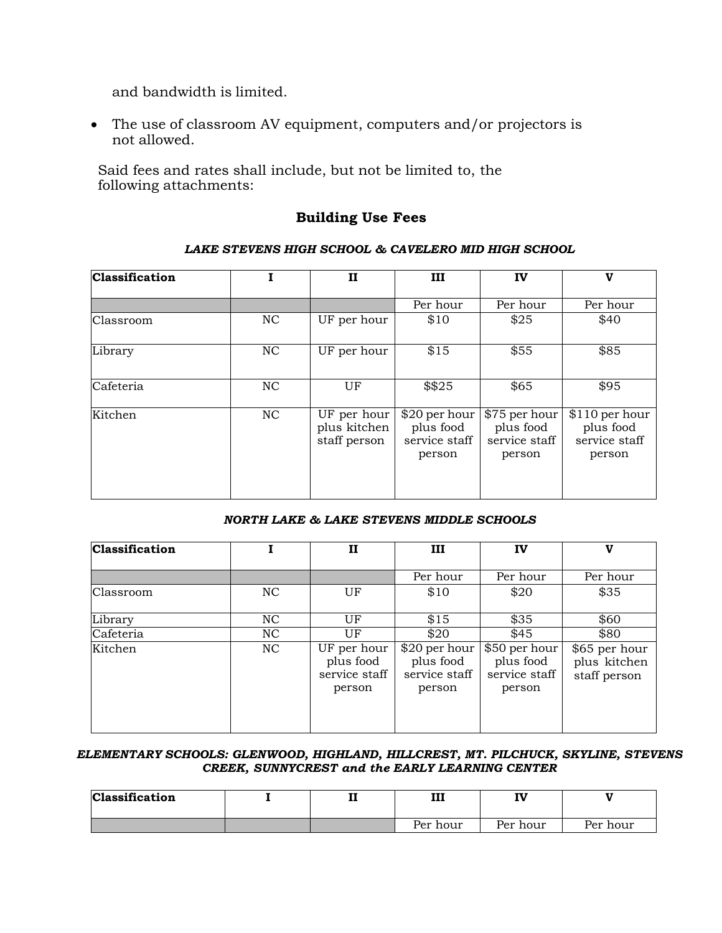and bandwidth is limited.

 The use of classroom AV equipment, computers and/or projectors is not allowed.

Said fees and rates shall include, but not be limited to, the following attachments:

### **Building Use Fees**

#### *LAKE STEVENS HIGH SCHOOL & CAVELERO MID HIGH SCHOOL*

| <b>Classification</b> |                | $\mathbf{I}$                                | ш                                                     | IV                                                    | V                                                       |
|-----------------------|----------------|---------------------------------------------|-------------------------------------------------------|-------------------------------------------------------|---------------------------------------------------------|
|                       |                |                                             | Per hour                                              | Per hour                                              | Per hour                                                |
| Classroom             | NC.            | UF per hour                                 | \$10                                                  | \$25                                                  | \$40                                                    |
| Library               | NC             | UF per hour                                 | \$15                                                  | \$55                                                  | \$85                                                    |
| Cafeteria             | N <sub>C</sub> | UF                                          | \$\$25                                                | \$65                                                  | \$95                                                    |
| Kitchen               | N <sub>C</sub> | UF per hour<br>plus kitchen<br>staff person | \$20 per hour<br>plus food<br>service staff<br>person | \$75 per hour<br>plus food<br>service staff<br>person | $$110$ per hour<br>plus food<br>service staff<br>person |

#### *NORTH LAKE & LAKE STEVENS MIDDLE SCHOOLS*

| <b>Classification</b> |                | п                                                   | Ш                                                     | IV                                                    | v                                             |
|-----------------------|----------------|-----------------------------------------------------|-------------------------------------------------------|-------------------------------------------------------|-----------------------------------------------|
|                       |                |                                                     | Per hour                                              | Per hour                                              | Per hour                                      |
| Classroom             | NC             | UF                                                  | \$10                                                  | \$20                                                  | \$35                                          |
| Library               | N <sub>C</sub> | UF                                                  | \$15                                                  | \$35                                                  | \$60                                          |
| Cafeteria             | N <sub>C</sub> | UF                                                  | \$20                                                  | \$45                                                  | \$80                                          |
| Kitchen               | NC             | UF per hour<br>plus food<br>service staff<br>person | \$20 per hour<br>plus food<br>service staff<br>person | \$50 per hour<br>plus food<br>service staff<br>person | \$65 per hour<br>plus kitchen<br>staff person |

#### *ELEMENTARY SCHOOLS: GLENWOOD, HIGHLAND, HILLCREST, MT. PILCHUCK, SKYLINE, STEVENS CREEK, SUNNYCREST and the EARLY LEARNING CENTER*

| <b>Classification</b> | $\mathbf{r}$<br>щ, | ш        | <b>TV:</b><br>. . |          |
|-----------------------|--------------------|----------|-------------------|----------|
|                       |                    | Per hour | Per hour          | Per hour |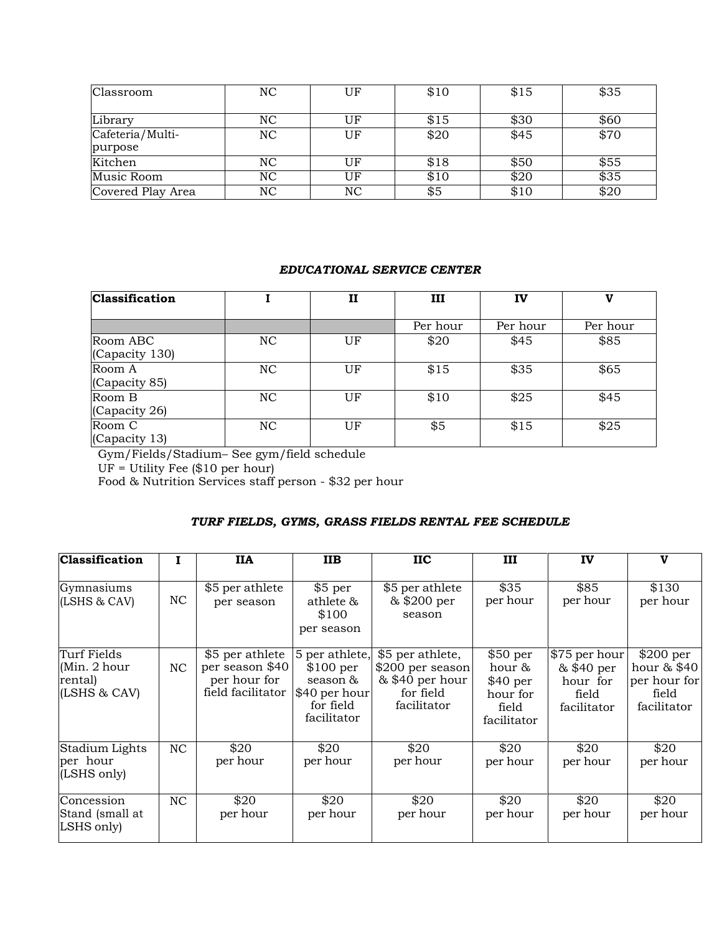| Classroom                   | NC        | UF | \$10 | \$15 | \$35 |
|-----------------------------|-----------|----|------|------|------|
| Library                     | NC        | UF | \$15 | \$30 | \$60 |
| Cafeteria/Multi-<br>purpose | NC        | UF | \$20 | \$45 | \$70 |
| Kitchen                     | NC        | UF | \$18 | \$50 | \$55 |
| Music Room                  | NC        | UF | \$10 | \$20 | \$35 |
| Covered Play Area           | <b>NC</b> | NC | \$5  | \$10 | \$20 |

#### *EDUCATIONAL SERVICE CENTER*

| <b>Classification</b>      |    | п  | ш        | IV       | v        |
|----------------------------|----|----|----------|----------|----------|
|                            |    |    | Per hour | Per hour | Per hour |
| Room ABC<br>(Capacity 130) | NC | UF | \$20     | \$45     | \$85     |
| Room A<br>(Capacity 85)    | NC | UF | \$15     | \$35     | \$65     |
| Room B<br>(Capacity 26)    | NC | UF | \$10     | \$25     | \$45     |
| Room C<br>(Capacity 13)    | NC | UF | \$5      | \$15     | \$25     |

Gym/Fields/Stadium– See gym/field schedule

UF = Utility Fee (\$10 per hour)

Food & Nutrition Services staff person - \$32 per hour

# *TURF FIELDS, GYMS, GRASS FIELDS RENTAL FEE SCHEDULE*

| <b>Classification</b>                                   |           | <b>IIA</b>                                                              | <b>IIB</b>                                                                           | <b>IIC</b>                                                                           | ш                                                                                      | IV                                                              | $\mathbf v$                                                                |
|---------------------------------------------------------|-----------|-------------------------------------------------------------------------|--------------------------------------------------------------------------------------|--------------------------------------------------------------------------------------|----------------------------------------------------------------------------------------|-----------------------------------------------------------------|----------------------------------------------------------------------------|
| Gymnasiums<br>(LSHS & CAV)                              | NC        | \$5 per athlete<br>per season                                           | \$5 per<br>athlete &<br>\$100<br>per season                                          | \$5 per athlete<br>& \$200 per<br>season                                             | \$35<br>per hour                                                                       | \$85<br>per hour                                                | \$130<br>per hour                                                          |
| Turf Fields<br>(Min. 2 hour)<br>rental)<br>(LSHS & CAV) | <b>NC</b> | \$5 per athlete<br>per season \$40<br>per hour for<br>field facilitator | 5 per athlete,<br>\$100~per<br>season &<br>\$40 per hour<br>for field<br>facilitator | \$5 per athlete,<br>\$200 per season<br>$& $40$ per hour<br>for field<br>facilitator | $$50~\mathrm{per}$<br>hour &<br>$$40~\mathrm{per}$<br>hour for<br>field<br>facilitator | \$75 per hour<br>& \$40 per<br>hour for<br>field<br>facilitator | $$200~\mathrm{per}$<br>hour & \$40<br>per hour for<br>field<br>facilitator |
| Stadium Lights<br>per hour<br>(LSHS only)               | NC        | \$20<br>per hour                                                        | \$20<br>per hour                                                                     | \$20<br>per hour                                                                     | \$20<br>per hour                                                                       | \$20<br>per hour                                                | \$20<br>per hour                                                           |
| Concession<br>Stand (small at<br>LSHS only)             | NC        | \$20<br>per hour                                                        | \$20<br>per hour                                                                     | \$20<br>per hour                                                                     | \$20<br>per hour                                                                       | \$20<br>per hour                                                | \$20<br>per hour                                                           |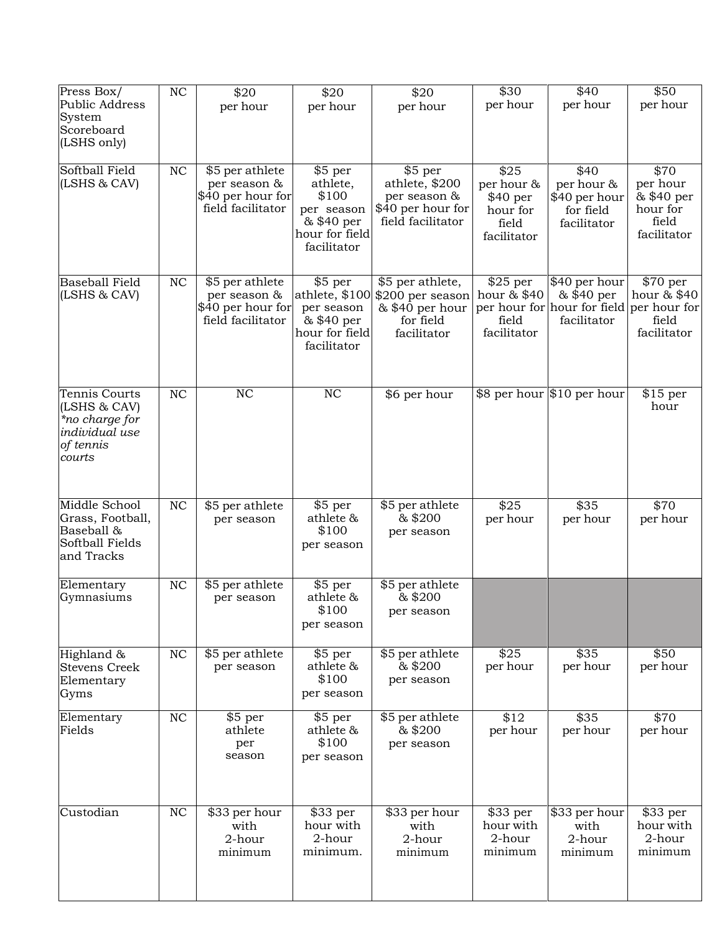| Press Box/                    | $\rm NC$  | \$20                                   | \$20                     | \$20                              | \$30                   | \$40                                                    | \$50                   |
|-------------------------------|-----------|----------------------------------------|--------------------------|-----------------------------------|------------------------|---------------------------------------------------------|------------------------|
| Public Address                |           | per hour                               | per hour                 | per hour                          | per hour               | per hour                                                | per hour               |
| System<br>Scoreboard          |           |                                        |                          |                                   |                        |                                                         |                        |
| (LSHS only)                   |           |                                        |                          |                                   |                        |                                                         |                        |
|                               |           |                                        |                          |                                   |                        |                                                         |                        |
| Softball Field                | <b>NC</b> | \$5 per athlete                        | \$5 per                  | $\overline{$}5$ per               | \$25                   | \$40                                                    | \$70                   |
| (LSHS & CAV)                  |           | per season &                           | athlete,                 | athlete, \$200                    | per hour &             | per hour &                                              | per hour               |
|                               |           | \$40 per hour for<br>field facilitator | \$100                    | per season &<br>\$40 per hour for | $$40~\mathrm{per}$     | \$40 per hour                                           | & \$40 per<br>hour for |
|                               |           |                                        | per season<br>& \$40 per | field facilitator                 | hour for<br>field      | for field<br>facilitator                                | field                  |
|                               |           |                                        | hour for field           |                                   | facilitator            |                                                         | facilitator            |
|                               |           |                                        | facilitator              |                                   |                        |                                                         |                        |
|                               |           |                                        |                          |                                   |                        |                                                         |                        |
| <b>Baseball Field</b>         | NC        | \$5 per athlete                        | \$5 per                  | \$5 per athlete,                  | \$25~per               | \$40 per hour                                           | \$70 per               |
| (LSHS & CAV)                  |           | per season &                           |                          | athlete, \$100 \$200 per season   | hour & \$40            | & \$40 per                                              | hour & \$40            |
|                               |           | \$40 per hour for<br>field facilitator | per season<br>& \$40 per | & \$40 per hour<br>for field      | field                  | per hour for hour for field per hour for<br>facilitator | field                  |
|                               |           |                                        | hour for field           | facilitator                       | facilitator            |                                                         | facilitator            |
|                               |           |                                        | facilitator              |                                   |                        |                                                         |                        |
|                               |           |                                        |                          |                                   |                        |                                                         |                        |
|                               |           |                                        |                          |                                   |                        |                                                         |                        |
| Tennis Courts<br>(LSHS & CAV) | NC        | $\overline{\text{NC}}$                 | $\overline{\text{NC}}$   | \$6 per hour                      |                        | \$8 per hour \$10 per hour                              | \$15~per<br>hour       |
| *no charge for                |           |                                        |                          |                                   |                        |                                                         |                        |
| individual use                |           |                                        |                          |                                   |                        |                                                         |                        |
| of tennis                     |           |                                        |                          |                                   |                        |                                                         |                        |
| courts                        |           |                                        |                          |                                   |                        |                                                         |                        |
|                               |           |                                        |                          |                                   |                        |                                                         |                        |
| Middle School                 | <b>NC</b> | \$5 per athlete                        | \$5 per                  | \$5 per athlete                   | \$25                   | \$35                                                    | \$70                   |
| Grass, Football,              |           | per season                             | athlete &                | & \$200                           | per hour               | per hour                                                | per hour               |
| Baseball &                    |           |                                        | \$100                    | per season                        |                        |                                                         |                        |
| Softball Fields               |           |                                        | per season               |                                   |                        |                                                         |                        |
| and Tracks                    |           |                                        |                          |                                   |                        |                                                         |                        |
| Elementary                    | NC        | \$5 per athlete                        | \$5 per                  | \$5 per athlete                   |                        |                                                         |                        |
| Gymnasiums                    |           | per season                             | athlete &                | & \$200                           |                        |                                                         |                        |
|                               |           |                                        | \$100                    | per season                        |                        |                                                         |                        |
|                               |           |                                        | per season               |                                   |                        |                                                         |                        |
| Highland &                    | $\rm NC$  | \$5 per athlete                        | \$5 per                  | \$5 per athlete                   | \$25                   | \$35                                                    | \$50                   |
| <b>Stevens Creek</b>          |           | per season                             | athlete &                | & \$200                           | per hour               | per hour                                                | per hour               |
| Elementary                    |           |                                        | \$100                    | per season                        |                        |                                                         |                        |
| Gyms                          |           |                                        | per season               |                                   |                        |                                                         |                        |
| Elementary                    | $\rm NC$  | \$5 per                                | \$5 per                  | \$5 per athlete                   | $\sqrt{$12}$           | \$35                                                    | \$70                   |
| Fields                        |           | athlete                                | athlete &                | & \$200                           | per hour               | per hour                                                | per hour               |
|                               |           | per<br>season                          | \$100                    | per season                        |                        |                                                         |                        |
|                               |           |                                        | per season               |                                   |                        |                                                         |                        |
|                               |           |                                        |                          |                                   |                        |                                                         |                        |
|                               |           |                                        |                          |                                   |                        |                                                         |                        |
| Custodian                     | $\rm NC$  | \$33 per hour<br>with                  | $$33$ per<br>hour with   | \$33 per hour<br>with             | $$33$ per<br>hour with | \$33 per hour<br>with                                   | \$33 per<br>hour with  |
|                               |           | 2-hour                                 | 2-hour                   | 2-hour                            | 2-hour                 | 2-hour                                                  | 2-hour                 |
|                               |           | minimum                                | minimum.                 | minimum                           | minimum                | minimum                                                 | minimum                |
|                               |           |                                        |                          |                                   |                        |                                                         |                        |
|                               |           |                                        |                          |                                   |                        |                                                         |                        |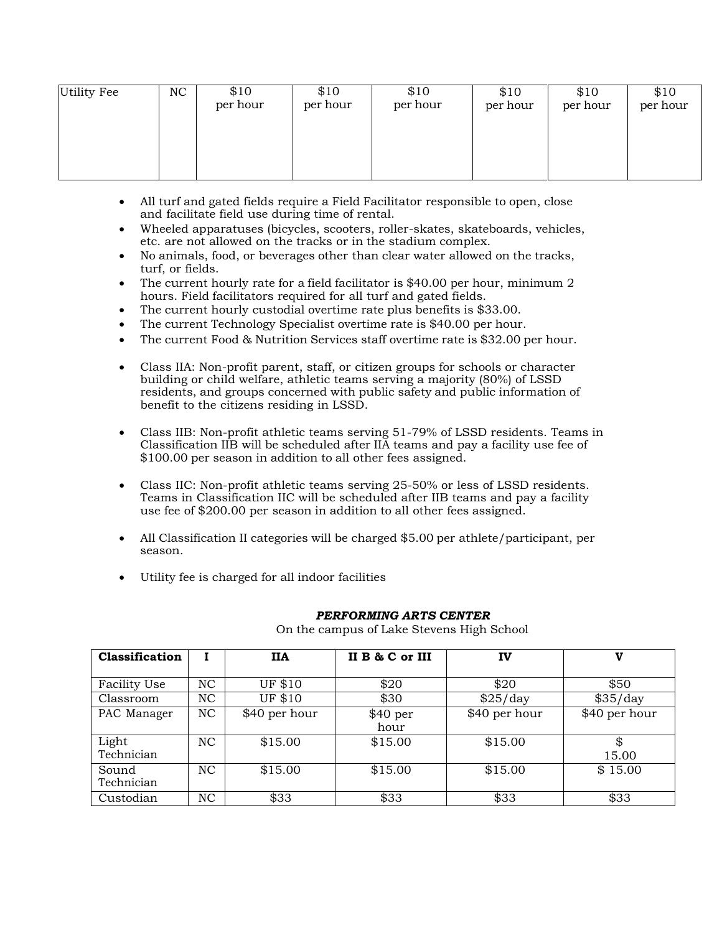| Utility Fee | NC | \$10<br>per hour | \$10<br>per hour | \$10<br>per hour | \$10<br>per hour | \$10<br>per hour | \$10<br>per hour |
|-------------|----|------------------|------------------|------------------|------------------|------------------|------------------|
|             |    |                  |                  |                  |                  |                  |                  |

- All turf and gated fields require a Field Facilitator responsible to open, close and facilitate field use during time of rental.
- Wheeled apparatuses (bicycles, scooters, roller-skates, skateboards, vehicles, etc. are not allowed on the tracks or in the stadium complex.
- No animals, food, or beverages other than clear water allowed on the tracks, turf, or fields.
- The current hourly rate for a field facilitator is \$40.00 per hour, minimum 2 hours. Field facilitators required for all turf and gated fields.
- The current hourly custodial overtime rate plus benefits is \$33.00.
- The current Technology Specialist overtime rate is \$40.00 per hour.
- The current Food & Nutrition Services staff overtime rate is \$32.00 per hour.
- Class IIA: Non-profit parent, staff, or citizen groups for schools or character building or child welfare, athletic teams serving a majority (80%) of LSSD residents, and groups concerned with public safety and public information of benefit to the citizens residing in LSSD.
- Class IIB: Non-profit athletic teams serving 51-79% of LSSD residents. Teams in Classification IIB will be scheduled after IIA teams and pay a facility use fee of \$100.00 per season in addition to all other fees assigned.
- Class IIC: Non-profit athletic teams serving 25-50% or less of LSSD residents. Teams in Classification IIC will be scheduled after IIB teams and pay a facility use fee of \$200.00 per season in addition to all other fees assigned.
- All Classification II categories will be charged \$5.00 per athlete/participant, per season.
- Utility fee is charged for all indoor facilities

| Classification      |                | <b>IIA</b>    | II B & C or III    | IV            | v                |
|---------------------|----------------|---------------|--------------------|---------------|------------------|
|                     |                |               |                    |               |                  |
| Facility Use        | NC             | UF \$10       | \$20               | \$20          | \$50             |
| Classroom           | <b>NC</b>      | UF \$10       | \$30               | \$25/day      | $\sqrt{$35/day}$ |
| PAC Manager         | <b>NC</b>      | \$40 per hour | $$40~\mathrm{per}$ | \$40 per hour | \$40 per hour    |
|                     |                |               | hour               |               |                  |
| Light               | <b>NC</b>      | \$15.00       | \$15.00            | \$15.00       | \$               |
| Technician          |                |               |                    |               | 15.00            |
| Sound<br>Technician | <b>NC</b>      | \$15.00       | \$15.00            | \$15.00       | \$15.00          |
| Custodian           | N <sub>C</sub> | \$33          | \$33               | \$33          | \$33             |

#### *PERFORMING ARTS CENTER*

On the campus of Lake Stevens High School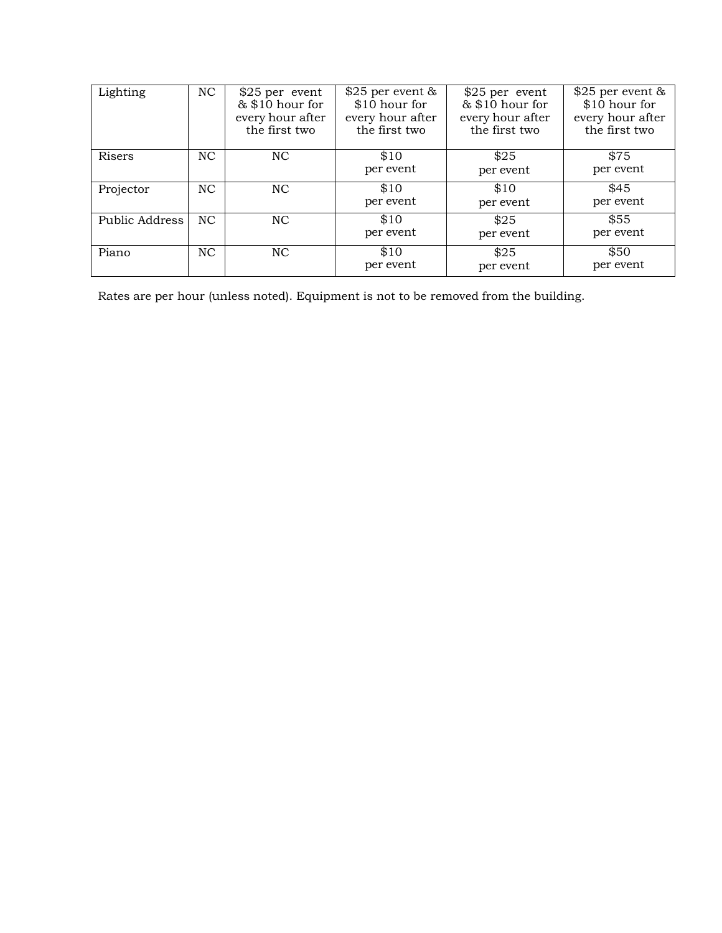| Lighting       | NC             | $$25$ per event<br>& \$10 hour for<br>every hour after<br>the first two | $$25$ per event &<br>\$10 hour for<br>every hour after<br>the first two | $$25$ per event<br>& \$10 hour for<br>every hour after<br>the first two | $$25$ per event $&$<br>\$10 hour for<br>every hour after<br>the first two |
|----------------|----------------|-------------------------------------------------------------------------|-------------------------------------------------------------------------|-------------------------------------------------------------------------|---------------------------------------------------------------------------|
| Risers         | NC.            | N <sub>C</sub>                                                          | \$10<br>per event                                                       | \$25<br>per event                                                       | \$75<br>per event                                                         |
| Projector      | NC.            | N <sub>C</sub>                                                          | \$10<br>per event                                                       | \$10<br>per event                                                       | \$45<br>per event                                                         |
| Public Address | NC             | N <sub>C</sub>                                                          | \$10<br>per event                                                       | \$25<br>per event                                                       | \$55<br>per event                                                         |
| Piano          | N <sub>C</sub> | N <sub>C</sub>                                                          | \$10<br>per event                                                       | \$25<br>per event                                                       | \$50<br>per event                                                         |

Rates are per hour (unless noted). Equipment is not to be removed from the building.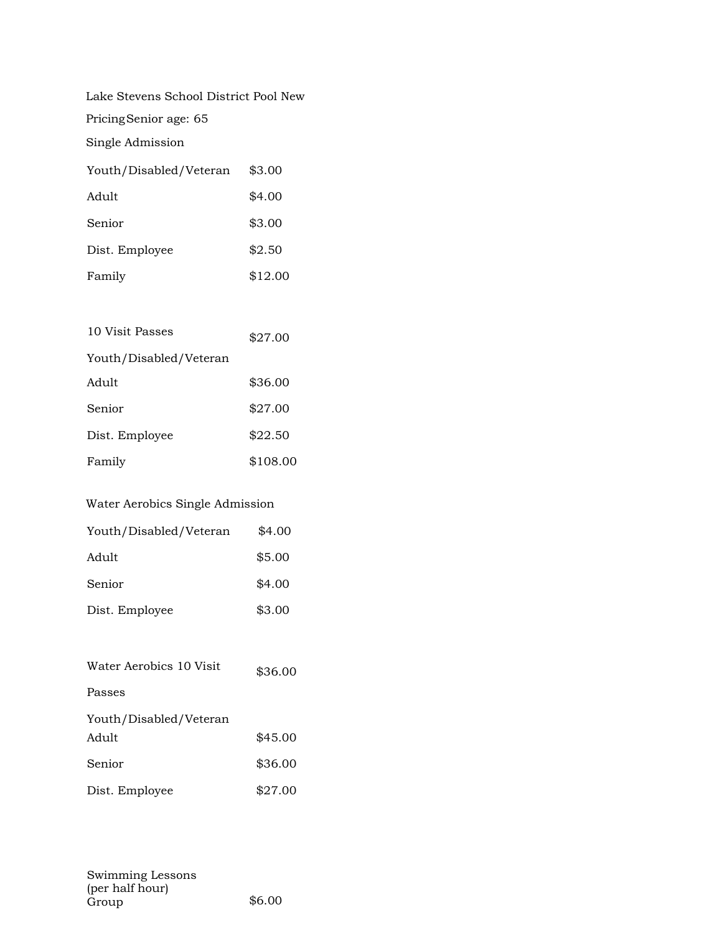Lake Stevens School District Pool New

PricingSenior age: 65

Single Admission

| Youth/Disabled/Veteran | \$3.00  |
|------------------------|---------|
| Adult                  | \$4.00  |
| Senior                 | \$3.00  |
| Dist. Employee         | \$2.50  |
| Family                 | \$12.00 |

| 10 Visit Passes        | \$27.00  |
|------------------------|----------|
| Youth/Disabled/Veteran |          |
| Adult                  | \$36.00  |
| Senior                 | \$27.00  |
| Dist. Employee         | \$22.50  |
| Family                 | \$108.00 |

#### Water Aerobics Single Admission

| Youth/Disabled/Veteran | \$4.00 |
|------------------------|--------|
| Adult                  | \$5.00 |
| Senior                 | \$4.00 |
| Dist. Employee         | \$3.00 |

| Water Aerobics 10 Visit | \$36.00 |
|-------------------------|---------|
| Passes                  |         |
| Youth/Disabled/Veteran  |         |
| Adult                   | \$45.00 |
| Senior                  | \$36.00 |
| Dist. Employee          | \$27.00 |